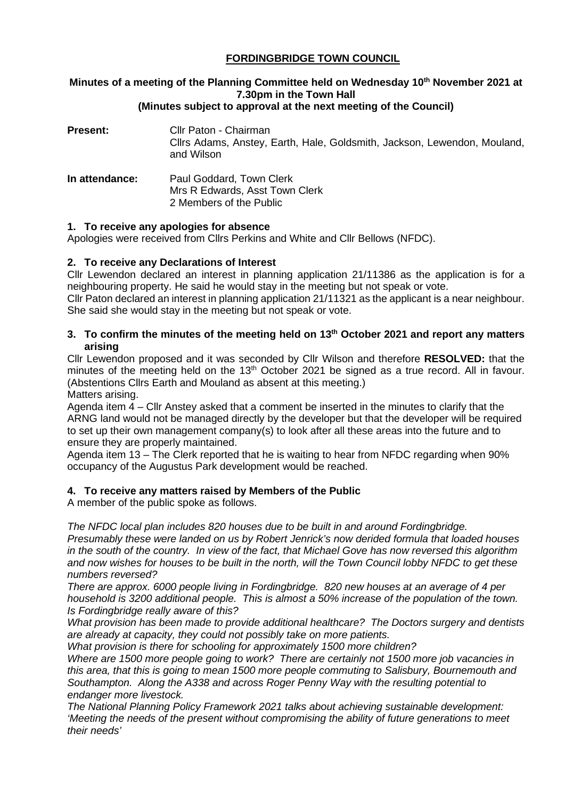# **FORDINGBRIDGE TOWN COUNCIL**

# **Minutes of a meeting of the Planning Committee held on Wednesday 10<sup>th</sup> November 2021 at 7.30pm in the Town Hall**

### **(Minutes subject to approval at the next meeting of the Council)**

| <b>Present:</b> | Cllr Paton - Chairman<br>Cllrs Adams, Anstey, Earth, Hale, Goldsmith, Jackson, Lewendon, Mouland,<br>and Wilson |
|-----------------|-----------------------------------------------------------------------------------------------------------------|
| In attendance:  | Paul Goddard, Town Clerk<br>Mrs R Edwards, Asst Town Clerk<br>2 Members of the Public                           |

### **1. To receive any apologies for absence**

Apologies were received from Cllrs Perkins and White and Cllr Bellows (NFDC).

### **2. To receive any Declarations of Interest**

Cllr Lewendon declared an interest in planning application 21/11386 as the application is for a neighbouring property. He said he would stay in the meeting but not speak or vote.

Cllr Paton declared an interest in planning application 21/11321 as the applicant is a near neighbour. She said she would stay in the meeting but not speak or vote.

### **3. To confirm the minutes of the meeting held on 13th October 2021 and report any matters arising**

Cllr Lewendon proposed and it was seconded by Cllr Wilson and therefore **RESOLVED:** that the minutes of the meeting held on the  $13<sup>th</sup>$  October 2021 be signed as a true record. All in favour. (Abstentions Cllrs Earth and Mouland as absent at this meeting.)

Matters arising.

Agenda item 4 – Cllr Anstey asked that a comment be inserted in the minutes to clarify that the ARNG land would not be managed directly by the developer but that the developer will be required to set up their own management company(s) to look after all these areas into the future and to ensure they are properly maintained.

Agenda item 13 – The Clerk reported that he is waiting to hear from NFDC regarding when 90% occupancy of the Augustus Park development would be reached.

### **4. To receive any matters raised by Members of the Public**

A member of the public spoke as follows.

*The NFDC local plan includes 820 houses due to be built in and around Fordingbridge.* 

*Presumably these were landed on us by Robert Jenrick's now derided formula that loaded houses in the south of the country. In view of the fact, that Michael Gove has now reversed this algorithm and now wishes for houses to be built in the north, will the Town Council lobby NFDC to get these numbers reversed?*

*There are approx. 6000 people living in Fordingbridge. 820 new houses at an average of 4 per household is 3200 additional people. This is almost a 50% increase of the population of the town. Is Fordingbridge really aware of this?*

*What provision has been made to provide additional healthcare? The Doctors surgery and dentists are already at capacity, they could not possibly take on more patients.*

*What provision is there for schooling for approximately 1500 more children?*

*Where are 1500 more people going to work? There are certainly not 1500 more job vacancies in this area, that this is going to mean 1500 more people commuting to Salisbury, Bournemouth and Southampton. Along the A338 and across Roger Penny Way with the resulting potential to endanger more livestock.*

*The National Planning Policy Framework 2021 talks about achieving sustainable development: 'Meeting the needs of the present without compromising the ability of future generations to meet their needs'*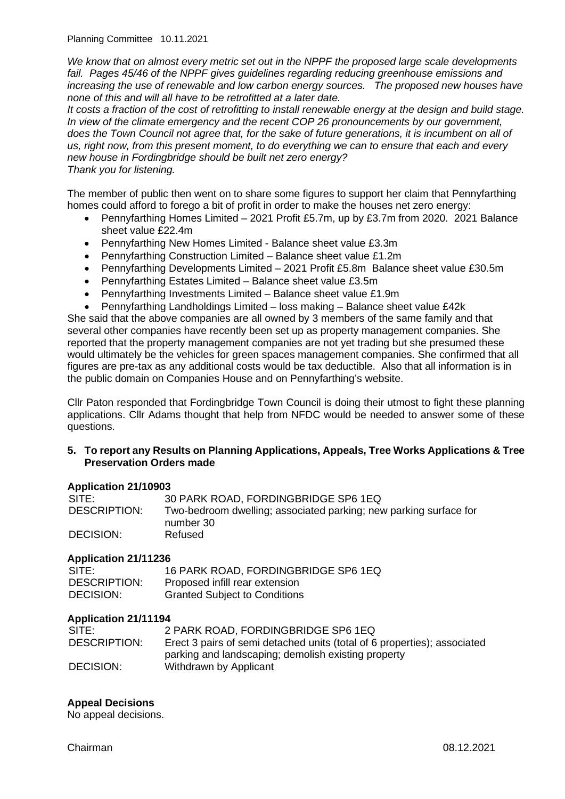Planning Committee 10.11.2021

*We know that on almost every metric set out in the NPPF the proposed large scale developments*  fail. Pages 45/46 of the NPPF gives guidelines regarding reducing greenhouse emissions and *increasing the use of renewable and low carbon energy sources. The proposed new houses have none of this and will all have to be retrofitted at a later date.*

*It costs a fraction of the cost of retrofitting to install renewable energy at the design and build stage. In view of the climate emergency and the recent COP 26 pronouncements by our government, does the Town Council not agree that, for the sake of future generations, it is incumbent on all of us, right now, from this present moment, to do everything we can to ensure that each and every new house in Fordingbridge should be built net zero energy? Thank you for listening.* 

The member of public then went on to share some figures to support her claim that Pennyfarthing homes could afford to forego a bit of profit in order to make the houses net zero energy:

- Pennyfarthing Homes Limited 2021 Profit £5.7m, up by £3.7m from 2020. 2021 Balance sheet value £22.4m
- Pennyfarthing New Homes Limited Balance sheet value £3.3m
- Pennyfarthing Construction Limited Balance sheet value £1.2m
- Pennyfarthing Developments Limited 2021 Profit £5.8m Balance sheet value £30.5m
- Pennyfarthing Estates Limited Balance sheet value £3.5m
- Pennyfarthing Investments Limited Balance sheet value £1.9m
- Pennyfarthing Landholdings Limited loss making Balance sheet value £42k

She said that the above companies are all owned by 3 members of the same family and that several other companies have recently been set up as property management companies. She reported that the property management companies are not yet trading but she presumed these would ultimately be the vehicles for green spaces management companies. She confirmed that all figures are pre-tax as any additional costs would be tax deductible. Also that all information is in the public domain on Companies House and on Pennyfarthing's website.

Cllr Paton responded that Fordingbridge Town Council is doing their utmost to fight these planning applications. Cllr Adams thought that help from NFDC would be needed to answer some of these questions.

#### **5. To report any Results on Planning Applications, Appeals, Tree Works Applications & Tree Preservation Orders made**

### **Application 21/10903**

| SITE:        | 30 PARK ROAD, FORDINGBRIDGE SP6 1EQ                               |
|--------------|-------------------------------------------------------------------|
| DESCRIPTION: | Two-bedroom dwelling; associated parking; new parking surface for |
|              | number 30                                                         |
| DECISION:    | Refused                                                           |

### **Application 21/11236**

| SITE:        | 16 PARK ROAD, FORDINGBRIDGE SP6 1EQ  |
|--------------|--------------------------------------|
| DESCRIPTION: | Proposed infill rear extension       |
| DECISION:    | <b>Granted Subject to Conditions</b> |

### **Application 21/11194**

| SITE:        | 2 PARK ROAD, FORDINGBRIDGE SP6 1EQ                                       |
|--------------|--------------------------------------------------------------------------|
| DESCRIPTION: | Erect 3 pairs of semi detached units (total of 6 properties); associated |
|              | parking and landscaping; demolish existing property                      |
| DECISION:    | Withdrawn by Applicant                                                   |

### **Appeal Decisions**

No appeal decisions.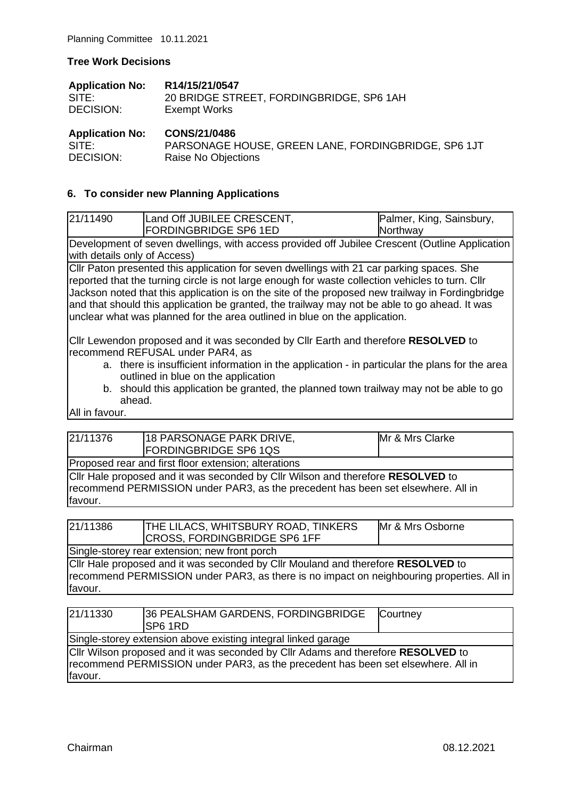#### **Tree Work Decisions**

| <b>Application No:</b> | R14/15/21/0547                           |
|------------------------|------------------------------------------|
| SITE:                  | 20 BRIDGE STREET, FORDINGBRIDGE, SP6 1AH |
| DECISION:              | <b>Exempt Works</b>                      |
|                        |                                          |

| <b>Application No:</b> | CONS/21/0486                                        |
|------------------------|-----------------------------------------------------|
| SITE:                  | PARSONAGE HOUSE, GREEN LANE, FORDINGBRIDGE, SP6 1JT |
| DECISION:              | Raise No Objections                                 |

### **6. To consider new Planning Applications**

| 21/11490 | Land Off JUBILEE CRESCENT,   | Palmer, King, Sainsbury, |
|----------|------------------------------|--------------------------|
|          | <b>FORDINGBRIDGE SP6 1ED</b> | Northway                 |
|          |                              |                          |

Development of seven dwellings, with access provided off Jubilee Crescent (Outline Application with details only of Access)

Cllr Paton presented this application for seven dwellings with 21 car parking spaces. She reported that the turning circle is not large enough for waste collection vehicles to turn. Cllr Jackson noted that this application is on the site of the proposed new trailway in Fordingbridge and that should this application be granted, the trailway may not be able to go ahead. It was unclear what was planned for the area outlined in blue on the application.

Cllr Lewendon proposed and it was seconded by Cllr Earth and therefore **RESOLVED** to recommend REFUSAL under PAR4, as

- a. there is insufficient information in the application in particular the plans for the area outlined in blue on the application
- b. should this application be granted, the planned town trailway may not be able to go ahead.

All in favour.

| 21/11376                                             | 18 PARSONAGE PARK DRIVE,<br><b>FORDINGBRIDGE SP6 1QS</b> |  | Mr & Mrs Clarke |
|------------------------------------------------------|----------------------------------------------------------|--|-----------------|
| Proposed rear and first floor extension; alterations |                                                          |  |                 |

Cllr Hale proposed and it was seconded by Cllr Wilson and therefore **RESOLVED** to recommend PERMISSION under PAR3, as the precedent has been set elsewhere. All in favour.

| 21/11386 | <b>THE LILACS, WHITSBURY ROAD, TINKERS</b><br>CROSS, FORDINGBRIDGE SP6 1FF | Mr & Mrs Osborne |
|----------|----------------------------------------------------------------------------|------------------|
|          |                                                                            |                  |

Single-storey rear extension; new front porch Cllr Hale proposed and it was seconded by Cllr Mouland and therefore **RESOLVED** to recommend PERMISSION under PAR3, as there is no impact on neighbouring properties. All in favour.

| 21/11330 | 36 PEALSHAM GARDENS, FORDINGBRIDGE<br><b>ISP6 1RD</b>                                                                                                                | Courtney |
|----------|----------------------------------------------------------------------------------------------------------------------------------------------------------------------|----------|
|          | Single-storey extension above existing integral linked garage                                                                                                        |          |
| favour.  | Cllr Wilson proposed and it was seconded by Cllr Adams and therefore RESOLVED to<br>recommend PERMISSION under PAR3, as the precedent has been set elsewhere. All in |          |